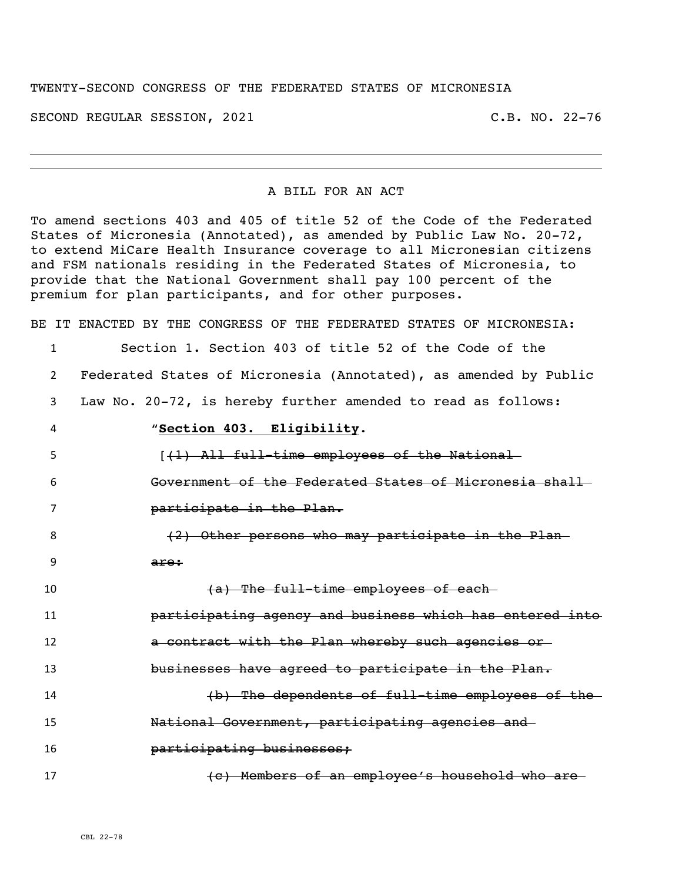## TWENTY-SECOND CONGRESS OF THE FEDERATED STATES OF MICRONESIA

SECOND REGULAR SESSION, 2021 C.B. NO. 22-76

## A BILL FOR AN ACT

To amend sections 403 and 405 of title 52 of the Code of the Federated States of Micronesia (Annotated), as amended by Public Law No. 20-72, to extend MiCare Health Insurance coverage to all Micronesian citizens and FSM nationals residing in the Federated States of Micronesia, to provide that the National Government shall pay 100 percent of the premium for plan participants, and for other purposes.

BE IT ENACTED BY THE CONGRESS OF THE FEDERATED STATES OF MICRONESIA:

1 Section 1. Section 403 of title 52 of the Code of the

2 Federated States of Micronesia (Annotated), as amended by Public

3 Law No. 20-72, is hereby further amended to read as follows:

- 4 "**Section 403. Eligibility**.
- $[1]$   $[1]$   $[2]$   $[2]$   $[3]$   $[4]$   $[4]$   $[4]$   $[1]$   $[1]$   $[2]$   $[2]$   $[2]$   $[3]$   $[4]$   $[4]$   $[4]$   $[4]$   $[4]$   $[4]$   $[4]$   $[4]$   $[4]$   $[4]$   $[4]$   $[4]$   $[4]$   $[4]$   $[4]$   $[4]$   $[4]$   $[4]$   $[4]$   $[4]$   $[4]$   $[4]$   $[4]$
- 6 Government of the Federated States of Micronesia shall
- 7 **participate in the Plan.**
- 8 (2) Other persons who may participate in the Plan-
- 9 are:
- 10 (a) The full-time employees of each 11 participating agency and business which has entered into
- 12 a contract with the Plan whereby such agencies or
- 13 businesses have agreed to participate in the Plan.
- 14 (b) The dependents of full-time employees of the 15 National Government, participating agencies and
- 16 **participating businesses;**
- 17 (c) Members of an employee's household who are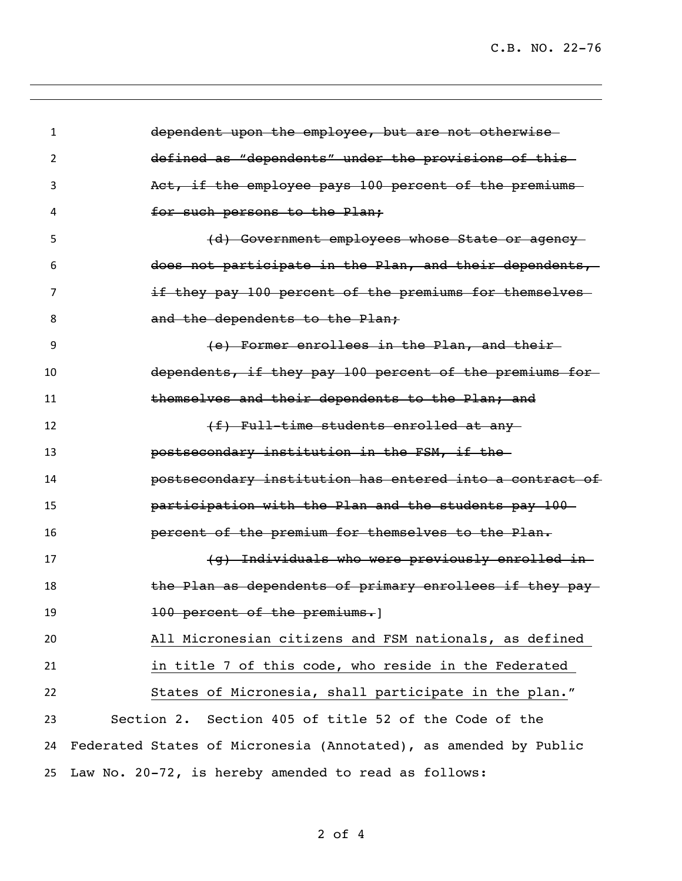| $\mathbf{1}$ | dependent upon the employee, but are not otherwise               |
|--------------|------------------------------------------------------------------|
| 2            | defined as "dependents" under the provisions of this-            |
| 3            | Act, if the employee pays 100 percent of the premiums            |
| 4            | for such persons to the Plan;                                    |
| 5            | (d) Government employees whose State or agency-                  |
| 6            | does not participate in the Plan, and their dependents,          |
| 7            | if they pay 100 percent of the premiums for themselves           |
| 8            | and the dependents to the Plan;                                  |
| 9            | (e) Former enrollees in the Plan, and their                      |
| 10           | dependents, if they pay 100 percent of the premiums for-         |
| 11           | themselves and their dependents to the Plan; and                 |
| 12           | (f) Full-time students enrolled at any                           |
| 13           | postsecondary institution in the FSM, if the                     |
| 14           | postsecondary institution has entered into a contract of         |
| 15           | participation with the Plan and the students pay 100             |
| 16           | percent of the premium for themselves to the Plan.               |
| 17           | (q) Individuals who were previously enrolled in-                 |
| 18           | the Plan as dependents of primary enrollees if they pay          |
| 19           | 100 percent of the premiums.                                     |
| 20           | All Micronesian citizens and FSM nationals, as defined           |
| 21           | in title 7 of this code, who reside in the Federated             |
| 22           | States of Micronesia, shall participate in the plan."            |
| 23           | Section 2. Section 405 of title 52 of the Code of the            |
| 24           | Federated States of Micronesia (Annotated), as amended by Public |
| 25           | Law No. 20-72, is hereby amended to read as follows:             |

<u> 1989 - Johann Stoff, amerikansk politiker (d. 1989)</u>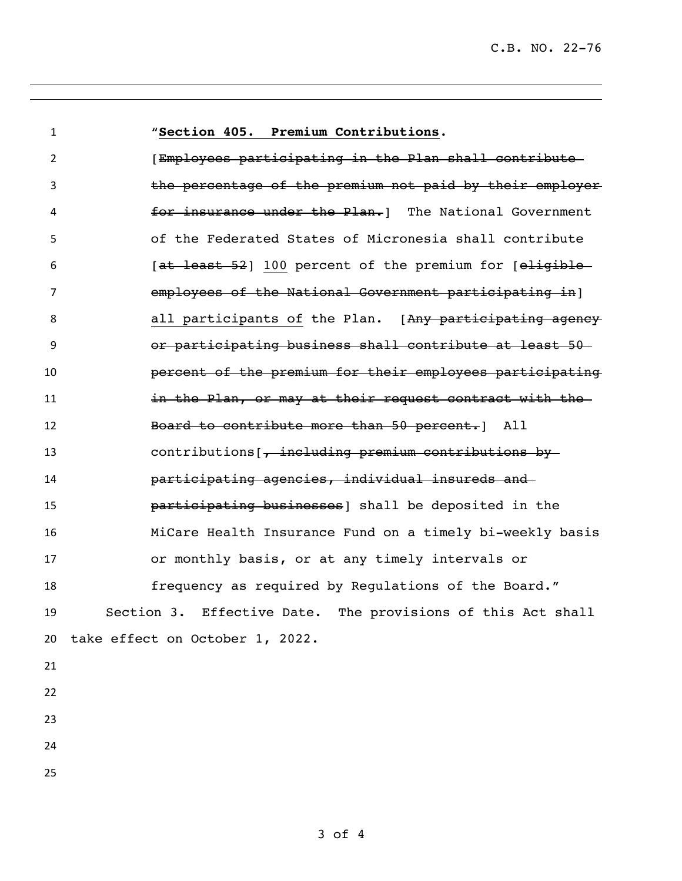```
1 "Section 405. Premium Contributions. 
2 [Employees participating in the Plan shall contribute
3 the percentage of the premium not paid by their employer 
4 for insurance under the Plan. The National Government
5 of the Federated States of Micronesia shall contribute 
6 [at least 52] 100 percent of the premium for [eligible
7 Employees of the National Government participating in |
8 all participants of the Plan. [Any participating agency
9 or participating business shall contribute at least 50 
10 percent of the premium for their employees participating 
11 11 in the Plan, or may at their request contract with the
12 Board to contribute more than 50 percent.] All 
13 contributions [, including premium contributions by
14 participating agencies, individual insureds and 
15 participating businesses] shall be deposited in the 
16 MiCare Health Insurance Fund on a timely bi-weekly basis 
17 or monthly basis, or at any timely intervals or 
18 frequency as required by Regulations of the Board."
19 Section 3. Effective Date. The provisions of this Act shall
20 take effect on October 1, 2022.
21
22
23
24
25
```